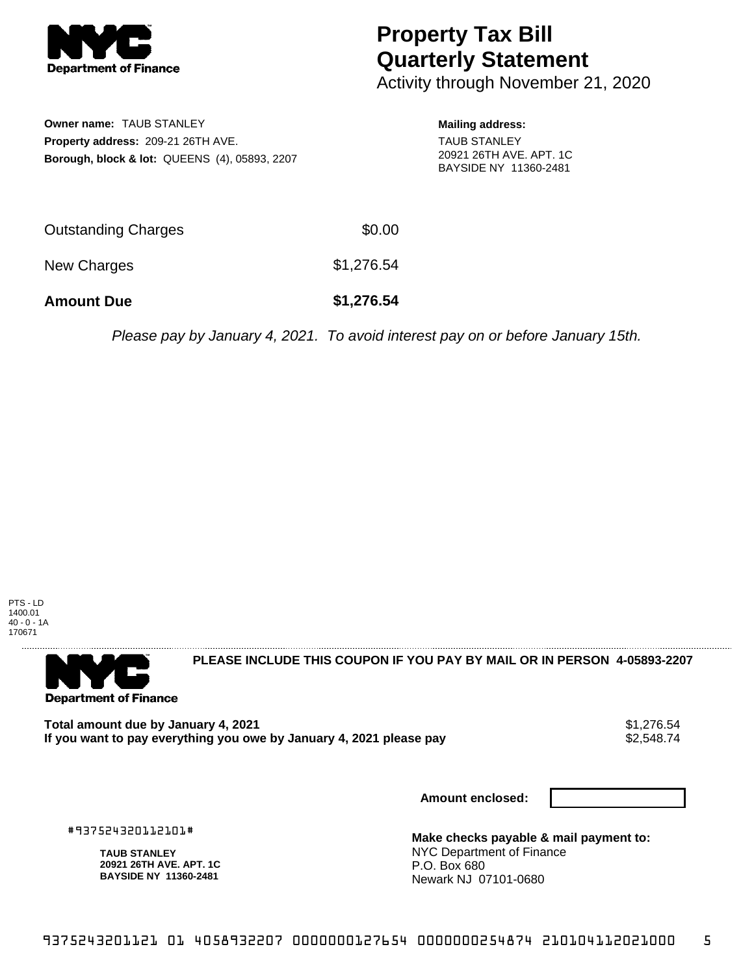

## **Property Tax Bill Quarterly Statement**

Activity through November 21, 2020

**Owner name:** TAUB STANLEY **Property address:** 209-21 26TH AVE. **Borough, block & lot:** QUEENS (4), 05893, 2207

## **Mailing address:**

TAUB STANLEY 20921 26TH AVE. APT. 1C BAYSIDE NY 11360-2481

| <b>Amount Due</b>   | \$1,276.54 |
|---------------------|------------|
| New Charges         | \$1,276.54 |
| Outstanding Charges | \$0.00     |

Please pay by January 4, 2021. To avoid interest pay on or before January 15th.

PTS - LD 1400.01 40 - 0 - 1A 170671



**PLEASE INCLUDE THIS COUPON IF YOU PAY BY MAIL OR IN PERSON 4-05893-2207** 

Total amount due by January 4, 2021<br>If you want to pay everything you owe by January 4, 2021 please pay **show that the set of the set of the set of** If you want to pay everything you owe by January 4, 2021 please pay

**Amount enclosed:**

#937524320112101#

**TAUB STANLEY 20921 26TH AVE. APT. 1C BAYSIDE NY 11360-2481**

**Make checks payable & mail payment to:** NYC Department of Finance P.O. Box 680 Newark NJ 07101-0680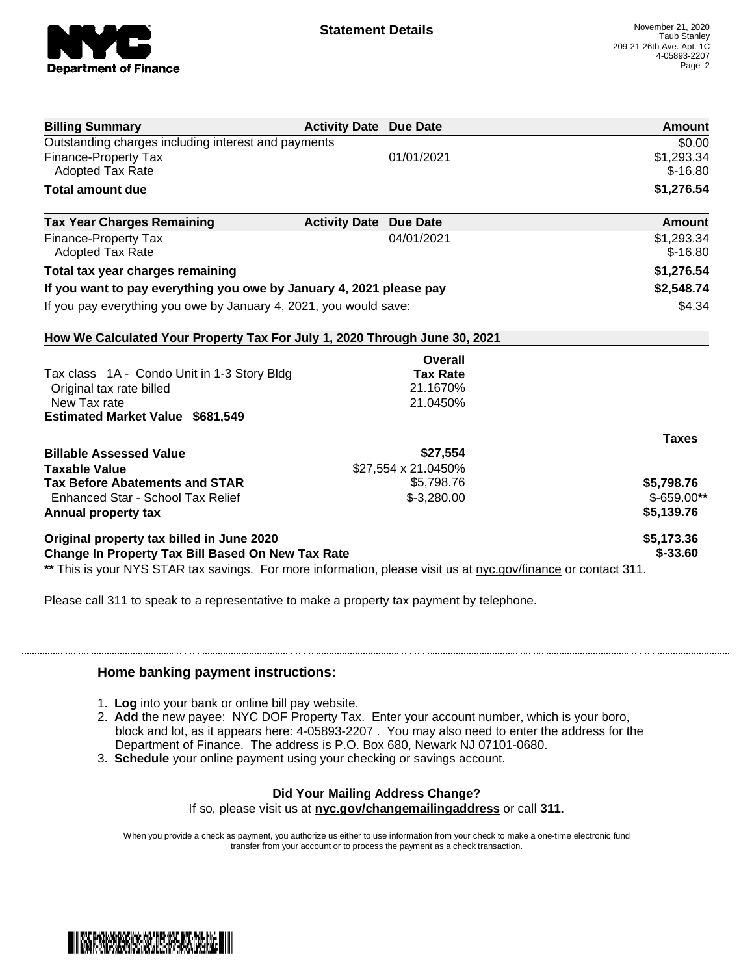

| <b>Billing Summary</b>                                                                                         | <b>Activity Date Due Date</b> |                     | Amount       |
|----------------------------------------------------------------------------------------------------------------|-------------------------------|---------------------|--------------|
| Outstanding charges including interest and payments                                                            |                               |                     | \$0.00       |
| Finance-Property Tax                                                                                           |                               | 01/01/2021          | \$1,293.34   |
| <b>Adopted Tax Rate</b>                                                                                        |                               |                     | $$-16.80$    |
| <b>Total amount due</b>                                                                                        |                               |                     | \$1,276.54   |
| <b>Tax Year Charges Remaining</b>                                                                              | <b>Activity Date</b>          | <b>Due Date</b>     | Amount       |
| <b>Finance-Property Tax</b>                                                                                    |                               | 04/01/2021          | \$1,293.34   |
| <b>Adopted Tax Rate</b>                                                                                        |                               |                     | $$-16.80$    |
| Total tax year charges remaining                                                                               |                               |                     | \$1,276.54   |
| If you want to pay everything you owe by January 4, 2021 please pay                                            |                               |                     | \$2,548.74   |
| If you pay everything you owe by January 4, 2021, you would save:                                              |                               |                     | \$4.34       |
| How We Calculated Your Property Tax For July 1, 2020 Through June 30, 2021                                     |                               |                     |              |
|                                                                                                                |                               | Overall             |              |
| Tax class 1A - Condo Unit in 1-3 Story Bldg                                                                    |                               | <b>Tax Rate</b>     |              |
| Original tax rate billed                                                                                       |                               | 21.1670%            |              |
| New Tax rate                                                                                                   |                               | 21.0450%            |              |
| <b>Estimated Market Value \$681,549</b>                                                                        |                               |                     |              |
|                                                                                                                |                               |                     | <b>Taxes</b> |
| <b>Billable Assessed Value</b>                                                                                 |                               | \$27,554            |              |
| <b>Taxable Value</b>                                                                                           |                               | \$27,554 x 21.0450% |              |
| <b>Tax Before Abatements and STAR</b>                                                                          |                               | \$5,798.76          | \$5,798.76   |
| Enhanced Star - School Tax Relief                                                                              |                               | $$-3,280.00$        | $$-659.00**$ |
| Annual property tax                                                                                            |                               |                     | \$5,139.76   |
| Original property tax billed in June 2020                                                                      |                               |                     | \$5,173.36   |
| <b>Change In Property Tax Bill Based On New Tax Rate</b>                                                       |                               |                     | $$ -33.60$   |
| ** This is your NYS STAR tax savings. For more information, please visit us at nyc.gov/finance or contact 311. |                               |                     |              |

Please call 311 to speak to a representative to make a property tax payment by telephone.

## **Home banking payment instructions:**

- 1. **Log** into your bank or online bill pay website.
- 2. **Add** the new payee: NYC DOF Property Tax. Enter your account number, which is your boro, block and lot, as it appears here: 4-05893-2207 . You may also need to enter the address for the Department of Finance. The address is P.O. Box 680, Newark NJ 07101-0680.
- 3. **Schedule** your online payment using your checking or savings account.

## **Did Your Mailing Address Change?**

If so, please visit us at **nyc.gov/changemailingaddress** or call **311.**

When you provide a check as payment, you authorize us either to use information from your check to make a one-time electronic fund transfer from your account or to process the payment as a check transaction.